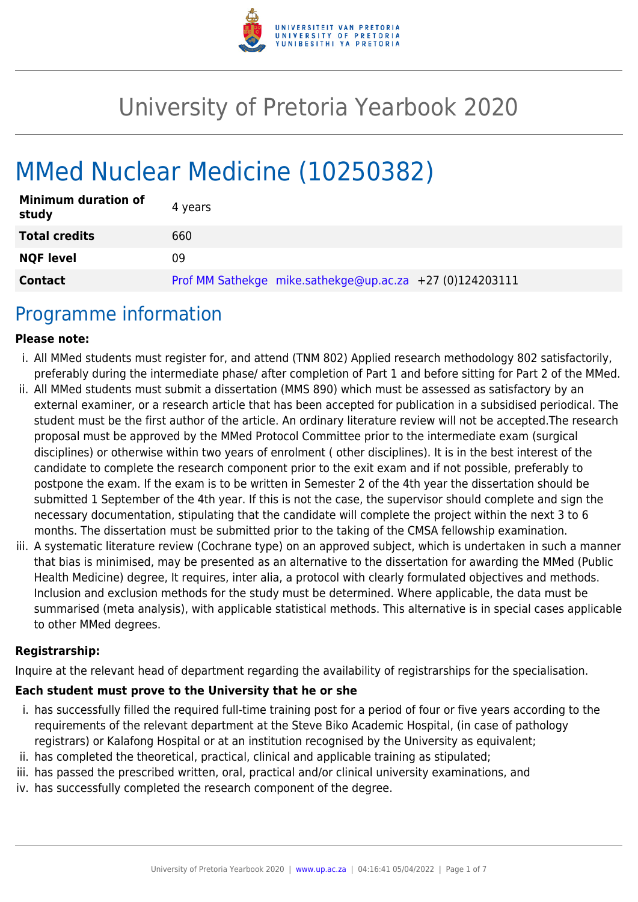

# University of Pretoria Yearbook 2020

# MMed Nuclear Medicine (10250382)

| <b>Minimum duration of</b><br>study | 4 years                                                  |
|-------------------------------------|----------------------------------------------------------|
| <b>Total credits</b>                | 660                                                      |
| <b>NQF level</b>                    | 09                                                       |
| <b>Contact</b>                      | Prof MM Sathekge mike.sathekge@up.ac.za +27 (0)124203111 |

## Programme information

#### **Please note:**

- i. All MMed students must register for, and attend (TNM 802) Applied research methodology 802 satisfactorily, preferably during the intermediate phase/ after completion of Part 1 and before sitting for Part 2 of the MMed.
- ii. All MMed students must submit a dissertation (MMS 890) which must be assessed as satisfactory by an external examiner, or a research article that has been accepted for publication in a subsidised periodical. The student must be the first author of the article. An ordinary literature review will not be accepted.The research proposal must be approved by the MMed Protocol Committee prior to the intermediate exam (surgical disciplines) or otherwise within two years of enrolment ( other disciplines). It is in the best interest of the candidate to complete the research component prior to the exit exam and if not possible, preferably to postpone the exam. If the exam is to be written in Semester 2 of the 4th year the dissertation should be submitted 1 September of the 4th year. If this is not the case, the supervisor should complete and sign the necessary documentation, stipulating that the candidate will complete the project within the next 3 to 6 months. The dissertation must be submitted prior to the taking of the CMSA fellowship examination.
- iii. A systematic literature review (Cochrane type) on an approved subject, which is undertaken in such a manner that bias is minimised, may be presented as an alternative to the dissertation for awarding the MMed (Public Health Medicine) degree, It requires, inter alia, a protocol with clearly formulated objectives and methods. Inclusion and exclusion methods for the study must be determined. Where applicable, the data must be summarised (meta analysis), with applicable statistical methods. This alternative is in special cases applicable to other MMed degrees.

#### **Registrarship:**

Inquire at the relevant head of department regarding the availability of registrarships for the specialisation.

#### **Each student must prove to the University that he or she**

- i. has successfully filled the required full-time training post for a period of four or five years according to the requirements of the relevant department at the Steve Biko Academic Hospital, (in case of pathology registrars) or Kalafong Hospital or at an institution recognised by the University as equivalent;
- ii. has completed the theoretical, practical, clinical and applicable training as stipulated;
- iii. has passed the prescribed written, oral, practical and/or clinical university examinations, and
- iv. has successfully completed the research component of the degree.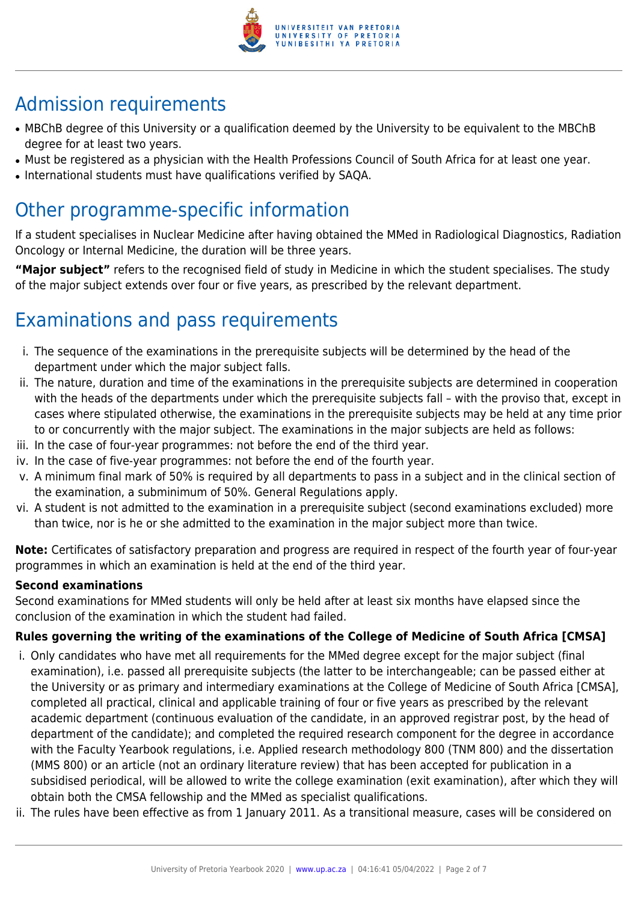

# Admission requirements

- MBChB degree of this University or a qualification deemed by the University to be equivalent to the MBChB degree for at least two years.
- Must be registered as a physician with the Health Professions Council of South Africa for at least one year.
- International students must have qualifications verified by SAQA.

# Other programme-specific information

If a student specialises in Nuclear Medicine after having obtained the MMed in Radiological Diagnostics, Radiation Oncology or Internal Medicine, the duration will be three years.

**"Major subject"** refers to the recognised field of study in Medicine in which the student specialises. The study of the major subject extends over four or five years, as prescribed by the relevant department.

# Examinations and pass requirements

- i. The sequence of the examinations in the prerequisite subjects will be determined by the head of the department under which the major subject falls.
- ii. The nature, duration and time of the examinations in the prerequisite subjects are determined in cooperation with the heads of the departments under which the prerequisite subjects fall – with the proviso that, except in cases where stipulated otherwise, the examinations in the prerequisite subjects may be held at any time prior to or concurrently with the major subject. The examinations in the major subjects are held as follows:
- iii. In the case of four-year programmes: not before the end of the third year.
- iv. In the case of five-year programmes: not before the end of the fourth year.
- v. A minimum final mark of 50% is required by all departments to pass in a subject and in the clinical section of the examination, a subminimum of 50%. General Regulations apply.
- vi. A student is not admitted to the examination in a prerequisite subject (second examinations excluded) more than twice, nor is he or she admitted to the examination in the major subject more than twice.

**Note:** Certificates of satisfactory preparation and progress are required in respect of the fourth year of four-year programmes in which an examination is held at the end of the third year.

#### **Second examinations**

Second examinations for MMed students will only be held after at least six months have elapsed since the conclusion of the examination in which the student had failed.

#### **Rules governing the writing of the examinations of the College of Medicine of South Africa [CMSA]**

- i. Only candidates who have met all requirements for the MMed degree except for the major subject (final examination), i.e. passed all prerequisite subjects (the latter to be interchangeable; can be passed either at the University or as primary and intermediary examinations at the College of Medicine of South Africa [CMSA], completed all practical, clinical and applicable training of four or five years as prescribed by the relevant academic department (continuous evaluation of the candidate, in an approved registrar post, by the head of department of the candidate); and completed the required research component for the degree in accordance with the Faculty Yearbook regulations, i.e. Applied research methodology 800 (TNM 800) and the dissertation (MMS 800) or an article (not an ordinary literature review) that has been accepted for publication in a subsidised periodical, will be allowed to write the college examination (exit examination), after which they will obtain both the CMSA fellowship and the MMed as specialist qualifications.
- ii. The rules have been effective as from 1 January 2011. As a transitional measure, cases will be considered on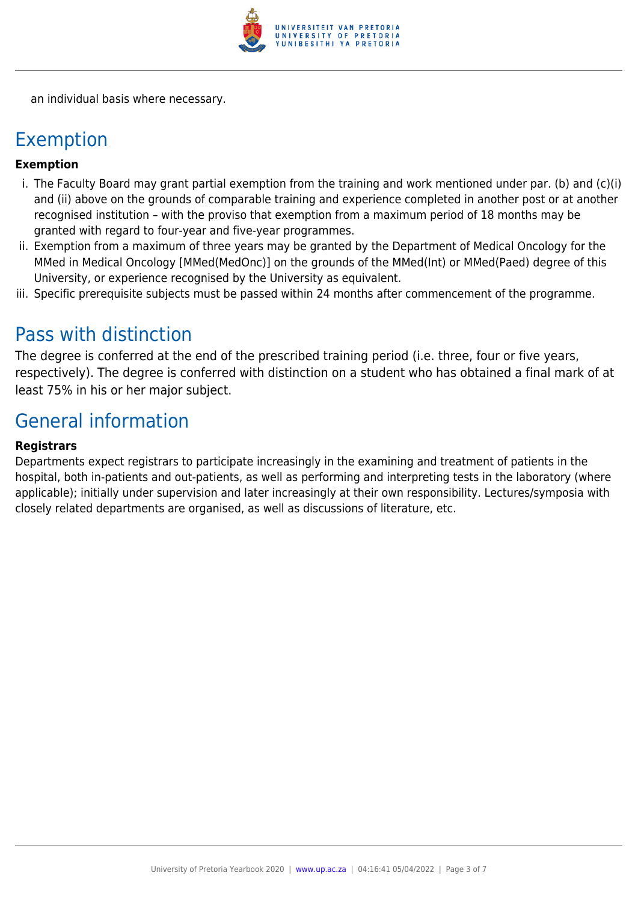

an individual basis where necessary.

## Exemption

#### **Exemption**

- i. The Faculty Board may grant partial exemption from the training and work mentioned under par. (b) and (c)(i) and (ii) above on the grounds of comparable training and experience completed in another post or at another recognised institution – with the proviso that exemption from a maximum period of 18 months may be granted with regard to four-year and five-year programmes.
- ii. Exemption from a maximum of three years may be granted by the Department of Medical Oncology for the MMed in Medical Oncology [MMed(MedOnc)] on the grounds of the MMed(Int) or MMed(Paed) degree of this University, or experience recognised by the University as equivalent.
- iii. Specific prerequisite subjects must be passed within 24 months after commencement of the programme.

## Pass with distinction

The degree is conferred at the end of the prescribed training period (i.e. three, four or five years, respectively). The degree is conferred with distinction on a student who has obtained a final mark of at least 75% in his or her major subject.

# General information

#### **Registrars**

Departments expect registrars to participate increasingly in the examining and treatment of patients in the hospital, both in-patients and out-patients, as well as performing and interpreting tests in the laboratory (where applicable); initially under supervision and later increasingly at their own responsibility. Lectures/symposia with closely related departments are organised, as well as discussions of literature, etc.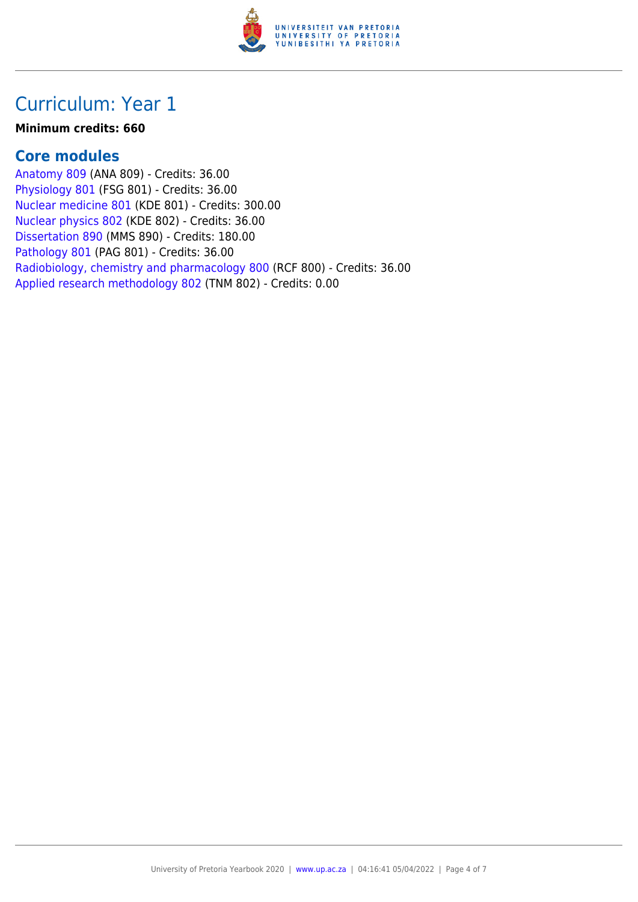

# Curriculum: Year 1

#### **Minimum credits: 660**

#### **Core modules**

[Anatomy 809](https://www.up.ac.za/faculty-of-education/yearbooks/2020/modules/view/ANA 809) (ANA 809) - Credits: 36.00 [Physiology 801](https://www.up.ac.za/faculty-of-education/yearbooks/2020/modules/view/FSG 801) (FSG 801) - Credits: 36.00 [Nuclear medicine 801](https://www.up.ac.za/faculty-of-education/yearbooks/2020/modules/view/KDE 801) (KDE 801) - Credits: 300.00 [Nuclear physics 802](https://www.up.ac.za/faculty-of-education/yearbooks/2020/modules/view/KDE 802) (KDE 802) - Credits: 36.00 [Dissertation 890](https://www.up.ac.za/faculty-of-education/yearbooks/2020/modules/view/MMS 890) (MMS 890) - Credits: 180.00 [Pathology 801](https://www.up.ac.za/faculty-of-education/yearbooks/2020/modules/view/PAG 801) (PAG 801) - Credits: 36.00 [Radiobiology, chemistry and pharmacology 800](https://www.up.ac.za/faculty-of-education/yearbooks/2020/modules/view/RCF 800) (RCF 800) - Credits: 36.00 [Applied research methodology 802](https://www.up.ac.za/faculty-of-education/yearbooks/2020/modules/view/TNM 802) (TNM 802) - Credits: 0.00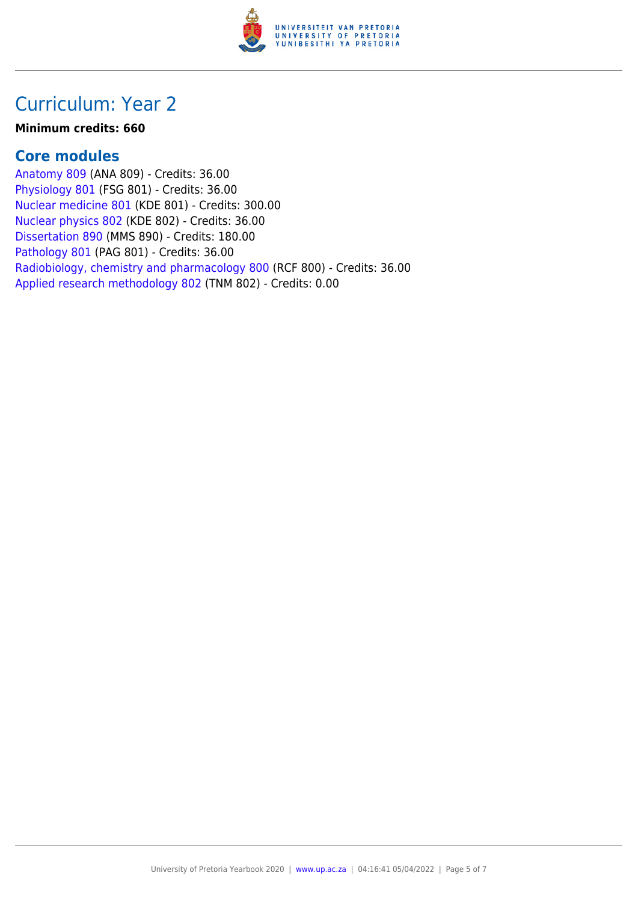

# Curriculum: Year 2

#### **Minimum credits: 660**

#### **Core modules**

[Anatomy 809](https://www.up.ac.za/faculty-of-education/yearbooks/2020/modules/view/ANA 809) (ANA 809) - Credits: 36.00 [Physiology 801](https://www.up.ac.za/faculty-of-education/yearbooks/2020/modules/view/FSG 801) (FSG 801) - Credits: 36.00 [Nuclear medicine 801](https://www.up.ac.za/faculty-of-education/yearbooks/2020/modules/view/KDE 801) (KDE 801) - Credits: 300.00 [Nuclear physics 802](https://www.up.ac.za/faculty-of-education/yearbooks/2020/modules/view/KDE 802) (KDE 802) - Credits: 36.00 [Dissertation 890](https://www.up.ac.za/faculty-of-education/yearbooks/2020/modules/view/MMS 890) (MMS 890) - Credits: 180.00 [Pathology 801](https://www.up.ac.za/faculty-of-education/yearbooks/2020/modules/view/PAG 801) (PAG 801) - Credits: 36.00 [Radiobiology, chemistry and pharmacology 800](https://www.up.ac.za/faculty-of-education/yearbooks/2020/modules/view/RCF 800) (RCF 800) - Credits: 36.00 [Applied research methodology 802](https://www.up.ac.za/faculty-of-education/yearbooks/2020/modules/view/TNM 802) (TNM 802) - Credits: 0.00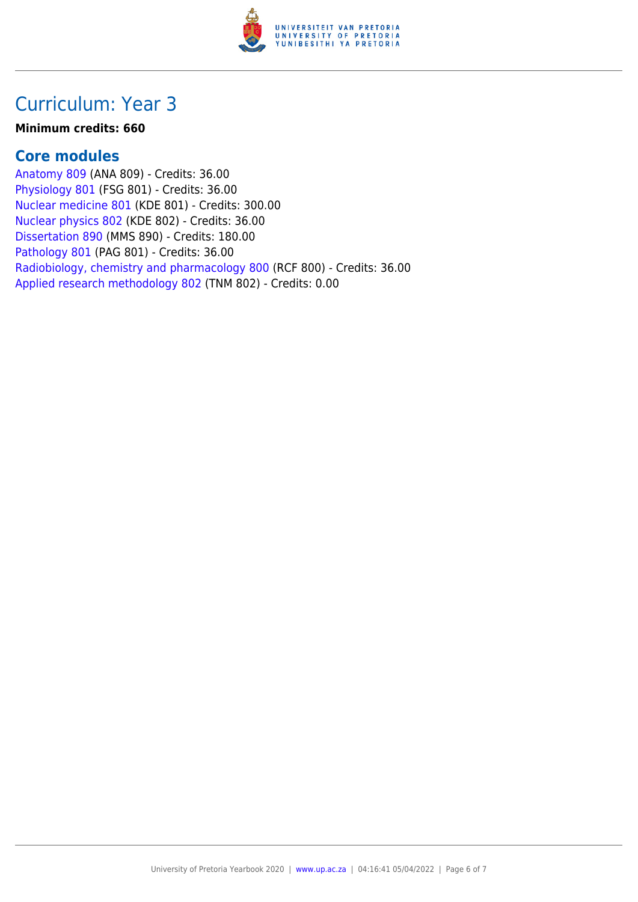

# Curriculum: Year 3

#### **Minimum credits: 660**

#### **Core modules**

[Anatomy 809](https://www.up.ac.za/faculty-of-education/yearbooks/2020/modules/view/ANA 809) (ANA 809) - Credits: 36.00 [Physiology 801](https://www.up.ac.za/faculty-of-education/yearbooks/2020/modules/view/FSG 801) (FSG 801) - Credits: 36.00 [Nuclear medicine 801](https://www.up.ac.za/faculty-of-education/yearbooks/2020/modules/view/KDE 801) (KDE 801) - Credits: 300.00 [Nuclear physics 802](https://www.up.ac.za/faculty-of-education/yearbooks/2020/modules/view/KDE 802) (KDE 802) - Credits: 36.00 [Dissertation 890](https://www.up.ac.za/faculty-of-education/yearbooks/2020/modules/view/MMS 890) (MMS 890) - Credits: 180.00 [Pathology 801](https://www.up.ac.za/faculty-of-education/yearbooks/2020/modules/view/PAG 801) (PAG 801) - Credits: 36.00 [Radiobiology, chemistry and pharmacology 800](https://www.up.ac.za/faculty-of-education/yearbooks/2020/modules/view/RCF 800) (RCF 800) - Credits: 36.00 [Applied research methodology 802](https://www.up.ac.za/faculty-of-education/yearbooks/2020/modules/view/TNM 802) (TNM 802) - Credits: 0.00